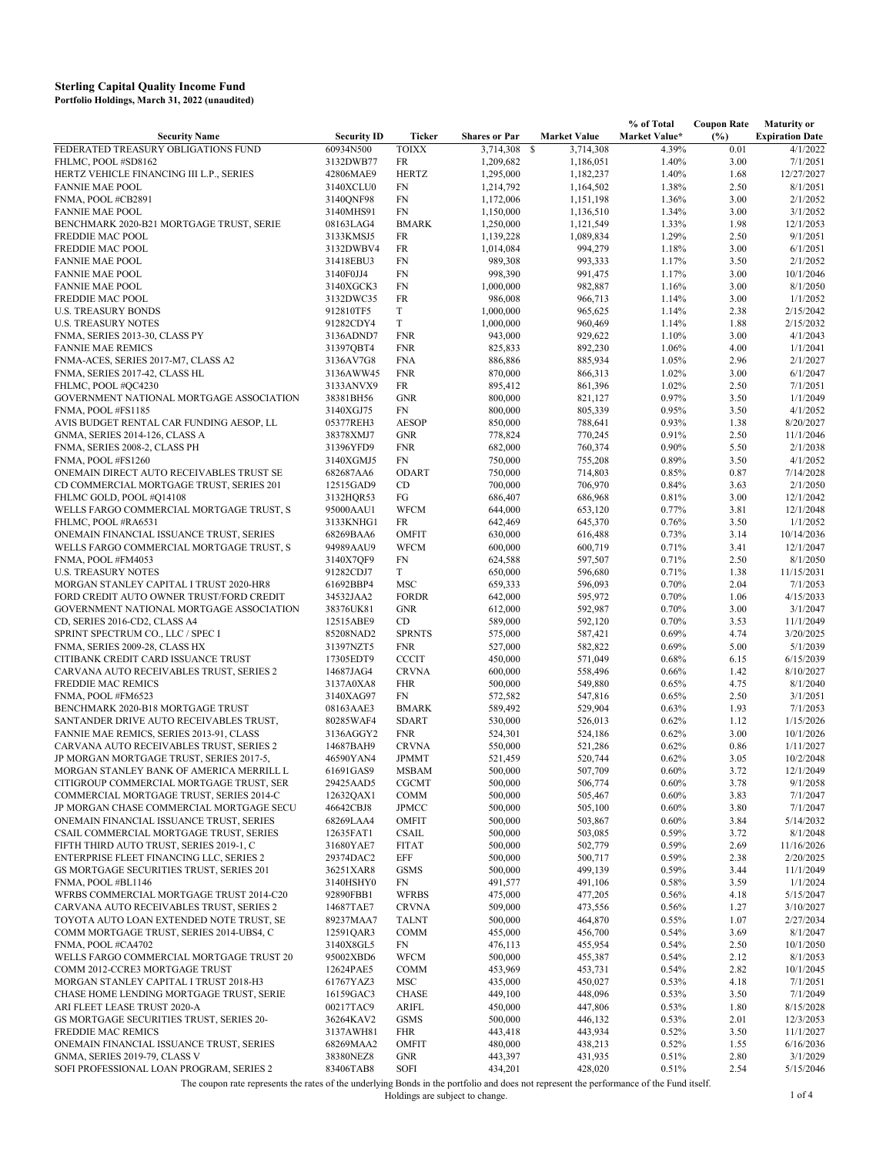|                                                         |                        |                        |                        |                        | % of Total     | <b>Coupon Rate</b> | <b>Maturity or</b>     |
|---------------------------------------------------------|------------------------|------------------------|------------------------|------------------------|----------------|--------------------|------------------------|
| <b>Security Name</b>                                    | <b>Security ID</b>     | Ticker                 | <b>Shares or Par</b>   | <b>Market Value</b>    | Market Value*  | (%)                | <b>Expiration Date</b> |
| FEDERATED TREASURY OBLIGATIONS FUND                     | 60934N500              | <b>TOIXX</b>           | 3,714,308              | 3,714,308<br>-S        | 4.39%          | 0.01               | 4/1/2022               |
| FHLMC, POOL #SD8162                                     | 3132DWB77              | FR                     | 1,209,682              | 1,186,051              | 1.40%          | 3.00               | 7/1/2051<br>12/27/2027 |
| HERTZ VEHICLE FINANCING III L.P., SERIES                | 42806MAE9              | <b>HERTZ</b>           | 1,295,000              | 1,182,237              | 1.40%          | 1.68               |                        |
| <b>FANNIE MAE POOL</b><br>FNMA, POOL #CB2891            | 3140XCLU0              | <b>FN</b><br><b>FN</b> | 1,214,792              | 1,164,502              | 1.38%          | 2.50               | 8/1/2051<br>2/1/2052   |
| <b>FANNIE MAE POOL</b>                                  | 3140QNF98<br>3140MHS91 | <b>FN</b>              | 1,172,006<br>1,150,000 | 1,151,198<br>1,136,510 | 1.36%<br>1.34% | 3.00<br>3.00       | 3/1/2052               |
| BENCHMARK 2020-B21 MORTGAGE TRUST, SERIE                | 08163LAG4              | <b>BMARK</b>           | 1,250,000              | 1,121,549              | 1.33%          | 1.98               | 12/1/2053              |
| FREDDIE MAC POOL                                        | 3133KMSJ5              | FR                     | 1,139,228              | 1,089,834              | 1.29%          | 2.50               | 9/1/2051               |
| FREDDIE MAC POOL                                        | 3132DWBV4              | FR                     | 1,014,084              | 994,279                | 1.18%          | 3.00               | 6/1/2051               |
| <b>FANNIE MAE POOL</b>                                  | 31418EBU3              | <b>FN</b>              | 989,308                | 993,333                | 1.17%          | 3.50               | 2/1/2052               |
| <b>FANNIE MAE POOL</b>                                  | 3140F0JJ4              | FN                     | 998,390                | 991,475                | 1.17%          | 3.00               | 10/1/2046              |
| <b>FANNIE MAE POOL</b>                                  | 3140XGCK3              | <b>FN</b>              | 1,000,000              | 982,887                | 1.16%          | 3.00               | 8/1/2050               |
| FREDDIE MAC POOL                                        | 3132DWC35              | FR                     | 986,008                | 966,713                | 1.14%          | 3.00               | 1/1/2052               |
| <b>U.S. TREASURY BONDS</b>                              | 912810TF5              | T                      | 1,000,000              | 965,625                | 1.14%          | 2.38               | 2/15/2042              |
| <b>U.S. TREASURY NOTES</b>                              | 91282CDY4              | $\mathbf T$            | 1,000,000              | 960,469                | 1.14%          | 1.88               | 2/15/2032              |
| FNMA, SERIES 2013-30, CLASS PY                          | 3136ADND7              | <b>FNR</b>             | 943,000                | 929,622                | 1.10%          | 3.00               | 4/1/2043               |
| <b>FANNIE MAE REMICS</b>                                | 31397QBT4              | <b>FNR</b>             | 825,833                | 892,230                | 1.06%          | 4.00               | 1/1/2041               |
| FNMA-ACES, SERIES 2017-M7, CLASS A2                     | 3136AV7G8              | <b>FNA</b>             | 886,886                | 885,934                | 1.05%          | 2.96               | 2/1/2027               |
| FNMA, SERIES 2017-42, CLASS HL                          | 3136AWW45              | <b>FNR</b>             | 870,000                | 866,313                | 1.02%          | 3.00               | 6/1/2047               |
| FHLMC, POOL #QC4230                                     | 3133ANVX9              | FR                     | 895,412                | 861,396                | 1.02%          | 2.50               | 7/1/2051               |
| GOVERNMENT NATIONAL MORTGAGE ASSOCIATION                | 38381BH56              | <b>GNR</b>             | 800,000                | 821,127                | 0.97%          | 3.50               | 1/1/2049               |
| FNMA, POOL #FS1185                                      | 3140XGJ75              | <b>FN</b>              | 800,000                | 805,339                | 0.95%          | 3.50               | 4/1/2052               |
| AVIS BUDGET RENTAL CAR FUNDING AESOP, LL                | 05377REH3              | <b>AESOP</b>           | 850,000                | 788,641                | 0.93%          | 1.38               | 8/20/2027              |
| GNMA, SERIES 2014-126, CLASS A                          | 38378XMJ7              | <b>GNR</b>             | 778,824                | 770,245                | 0.91%          | 2.50               | 11/1/2046              |
| FNMA, SERIES 2008-2, CLASS PH                           | 31396YFD9              | <b>FNR</b>             | 682,000                | 760,374                | 0.90%          | 5.50               | 2/1/2038               |
| FNMA, POOL #FS1260                                      | 3140XGMJ5              | <b>FN</b>              | 750,000                | 755,208                | 0.89%          | 3.50               | 4/1/2052               |
| ONEMAIN DIRECT AUTO RECEIVABLES TRUST SE                | 682687AA6              | <b>ODART</b>           | 750,000                | 714,803                | 0.85%          | 0.87               | 7/14/2028              |
| CD COMMERCIAL MORTGAGE TRUST, SERIES 201                | 12515GAD9              | CD                     | 700,000                | 706,970                | 0.84%          | 3.63               | 2/1/2050               |
| FHLMC GOLD, POOL #Q14108                                | 3132HQR53              | FG                     | 686,407                | 686,968                | 0.81%          | 3.00               | 12/1/2042              |
| WELLS FARGO COMMERCIAL MORTGAGE TRUST, S                | 95000AAU1              | <b>WFCM</b>            | 644,000                | 653,120                | 0.77%          | 3.81               | 12/1/2048              |
| FHLMC, POOL #RA6531                                     | 3133KNHG1              | FR                     | 642,469                | 645,370                | 0.76%          | 3.50               | 1/1/2052               |
| ONEMAIN FINANCIAL ISSUANCE TRUST, SERIES                | 68269BAA6              | <b>OMFIT</b>           | 630,000                | 616,488                | 0.73%          | 3.14               | 10/14/2036             |
| WELLS FARGO COMMERCIAL MORTGAGE TRUST, S                | 94989AAU9              | <b>WFCM</b>            | 600,000                | 600,719                | 0.71%          | 3.41               | 12/1/2047              |
| FNMA, POOL #FM4053                                      | 3140X7QF9              | <b>FN</b>              | 624,588                | 597,507                | 0.71%          | 2.50               | 8/1/2050               |
| <b>U.S. TREASURY NOTES</b>                              | 91282CDJ7              | T                      | 650,000                | 596,680                | 0.71%          | 1.38               | 11/15/2031             |
| MORGAN STANLEY CAPITAL I TRUST 2020-HR8                 | 61692BBP4              | MSC                    | 659,333                | 596,093                | 0.70%          | 2.04               | 7/1/2053               |
| FORD CREDIT AUTO OWNER TRUST/FORD CREDIT                | 34532JAA2              | <b>FORDR</b>           | 642,000                | 595,972                | 0.70%          | 1.06               | 4/15/2033              |
| GOVERNMENT NATIONAL MORTGAGE ASSOCIATION                | 38376UK81              | <b>GNR</b>             | 612,000                | 592,987                | 0.70%          | 3.00               | 3/1/2047               |
| CD, SERIES 2016-CD2, CLASS A4                           | 12515ABE9              | CD                     | 589,000                | 592,120                | 0.70%          | 3.53               | 11/1/2049              |
| SPRINT SPECTRUM CO., LLC / SPEC I                       | 85208NAD2              | <b>SPRNTS</b>          | 575,000                | 587,421                | 0.69%          | 4.74               | 3/20/2025              |
| FNMA, SERIES 2009-28, CLASS HX                          | 31397NZT5              | <b>FNR</b>             | 527,000                | 582,822                | 0.69%          | 5.00               | 5/1/2039               |
| CITIBANK CREDIT CARD ISSUANCE TRUST                     | 17305EDT9              | <b>CCCIT</b>           | 450,000                | 571,049                | 0.68%          | 6.15               | 6/15/2039              |
| CARVANA AUTO RECEIVABLES TRUST, SERIES 2                | 14687JAG4              | <b>CRVNA</b>           | 600,000                | 558,496                | 0.66%          | 1.42               | 8/10/2027              |
| FREDDIE MAC REMICS                                      | 3137A0XA8<br>3140XAG97 | <b>FHR</b><br>FN       | 500,000                | 549,880                | 0.65%          | 4.75               | 8/1/2040               |
| FNMA, POOL #FM6523<br>BENCHMARK 2020-B18 MORTGAGE TRUST | 08163AAE3              | <b>BMARK</b>           | 572,582<br>589,492     | 547,816<br>529,904     | 0.65%<br>0.63% | 2.50<br>1.93       | 3/1/2051<br>7/1/2053   |
| SANTANDER DRIVE AUTO RECEIVABLES TRUST,                 | 80285WAF4              | <b>SDART</b>           | 530,000                | 526,013                | 0.62%          | 1.12               | 1/15/2026              |
| FANNIE MAE REMICS, SERIES 2013-91, CLASS                | 3136AGGY2              | <b>FNR</b>             | 524,301                | 524,186                | 0.62%          | 3.00               | 10/1/2026              |
| CARVANA AUTO RECEIVABLES TRUST, SERIES 2                | 14687BAH9              | <b>CRVNA</b>           | 550,000                | 521,286                | 0.62%          | 0.86               | 1/11/2027              |
| JP MORGAN MORTGAGE TRUST, SERIES 2017-5,                | 46590YAN4              | <b>JPMMT</b>           | 521,459                | 520,744                | 0.62%          | 3.05               | 10/2/2048              |
| MORGAN STANLEY BANK OF AMERICA MERRILL L                | 61691GAS9              | <b>MSBAM</b>           | 500,000                | 507,709                | 0.60%          | 3.72               | 12/1/2049              |
| CITIGROUP COMMERCIAL MORTGAGE TRUST, SER                | 29425AAD5              | <b>CGCMT</b>           | 500,000                | 506,774                | 0.60%          | 3.78               | 9/1/2058               |
| COMMERCIAL MORTGAGE TRUST, SERIES 2014-C                | 12632QAX1              | COMM                   | 500,000                | 505,467                | 0.60%          | 3.83               | 7/1/2047               |
| JP MORGAN CHASE COMMERCIAL MORTGAGE SECU                | 46642CBJ8              | JPMCC                  | 500,000                | 505,100                | 0.60%          | 3.80               | 7/1/2047               |
| ONEMAIN FINANCIAL ISSUANCE TRUST, SERIES                | 68269LAA4              | <b>OMFIT</b>           | 500,000                | 503,867                | 0.60%          | 3.84               | 5/14/2032              |
| CSAIL COMMERCIAL MORTGAGE TRUST, SERIES                 | 12635FAT1              | <b>CSAIL</b>           | 500,000                | 503,085                | 0.59%          | 3.72               | 8/1/2048               |
| FIFTH THIRD AUTO TRUST, SERIES 2019-1, C                | 31680YAE7              | <b>FITAT</b>           | 500,000                | 502,779                | 0.59%          | 2.69               | 11/16/2026             |
| ENTERPRISE FLEET FINANCING LLC, SERIES 2                | 29374DAC2              | EFF                    | 500,000                | 500,717                | 0.59%          | 2.38               | 2/20/2025              |
| GS MORTGAGE SECURITIES TRUST, SERIES 201                | 36251XAR8              | <b>GSMS</b>            | 500,000                | 499,139                | 0.59%          | 3.44               | 11/1/2049              |
| FNMA, POOL #BL1146                                      | 3140HSHY0              | FN                     | 491,577                | 491,106                | 0.58%          | 3.59               | 1/1/2024               |
| WFRBS COMMERCIAL MORTGAGE TRUST 2014-C20                | 92890FBB1              | <b>WFRBS</b>           | 475,000                | 477,205                | 0.56%          | 4.18               | 5/15/2047              |
| CARVANA AUTO RECEIVABLES TRUST, SERIES 2                | 14687TAE7              | <b>CRVNA</b>           | 509,000                | 473,556                | 0.56%          | 1.27               | 3/10/2027              |
| TOYOTA AUTO LOAN EXTENDED NOTE TRUST, SE                | 89237MAA7              | <b>TALNT</b>           | 500,000                | 464,870                | 0.55%          | 1.07               | 2/27/2034              |
| COMM MORTGAGE TRUST, SERIES 2014-UBS4, C                | 12591QAR3              | <b>COMM</b>            | 455,000                | 456,700                | 0.54%          | 3.69               | 8/1/2047               |
| FNMA, POOL #CA4702                                      | 3140X8GL5              | FN                     | 476,113                | 455,954                | 0.54%          | 2.50               | 10/1/2050              |
| WELLS FARGO COMMERCIAL MORTGAGE TRUST 20                | 95002XBD6              | <b>WFCM</b>            | 500,000                | 455,387                | 0.54%          | 2.12               | 8/1/2053               |
| COMM 2012-CCRE3 MORTGAGE TRUST                          | 12624PAE5              | <b>COMM</b>            | 453,969                | 453,731                | 0.54%          | 2.82               | 10/1/2045              |
| MORGAN STANLEY CAPITAL I TRUST 2018-H3                  | 61767YAZ3              | MSC                    | 435,000                | 450,027                | 0.53%          | 4.18               | 7/1/2051               |
| CHASE HOME LENDING MORTGAGE TRUST, SERIE                | 16159GAC3              | <b>CHASE</b>           | 449,100                | 448,096                | 0.53%          | 3.50               | 7/1/2049               |
| ARI FLEET LEASE TRUST 2020-A                            | 00217TAC9              | ARIFL                  | 450,000                | 447,806                | 0.53%          | 1.80               | 8/15/2028              |
| GS MORTGAGE SECURITIES TRUST, SERIES 20-                | 36264KAV2              | <b>GSMS</b>            | 500,000                | 446,132                | 0.53%          | 2.01               | 12/3/2053              |
| FREDDIE MAC REMICS                                      | 3137AWH81              | <b>FHR</b>             | 443,418                | 443,934                | 0.52%          | 3.50               | 11/1/2027              |
| ONEMAIN FINANCIAL ISSUANCE TRUST, SERIES                | 68269MAA2              | <b>OMFIT</b>           | 480,000                | 438,213                | 0.52%          | 1.55               | 6/16/2036              |
| GNMA, SERIES 2019-79, CLASS V                           | 38380NEZ8              | <b>GNR</b>             | 443,397                | 431,935                | 0.51%          | 2.80               | 3/1/2029               |
| SOFI PROFESSIONAL LOAN PROGRAM, SERIES 2                | 83406TAB8              | <b>SOFI</b>            | 434,201                | 428,020                | 0.51%          | 2.54               | 5/15/2046              |

The coupon rate represents the rates of the underlying Bonds in the portfolio and does not represent the performance of the Fund itself.<br>1 of 4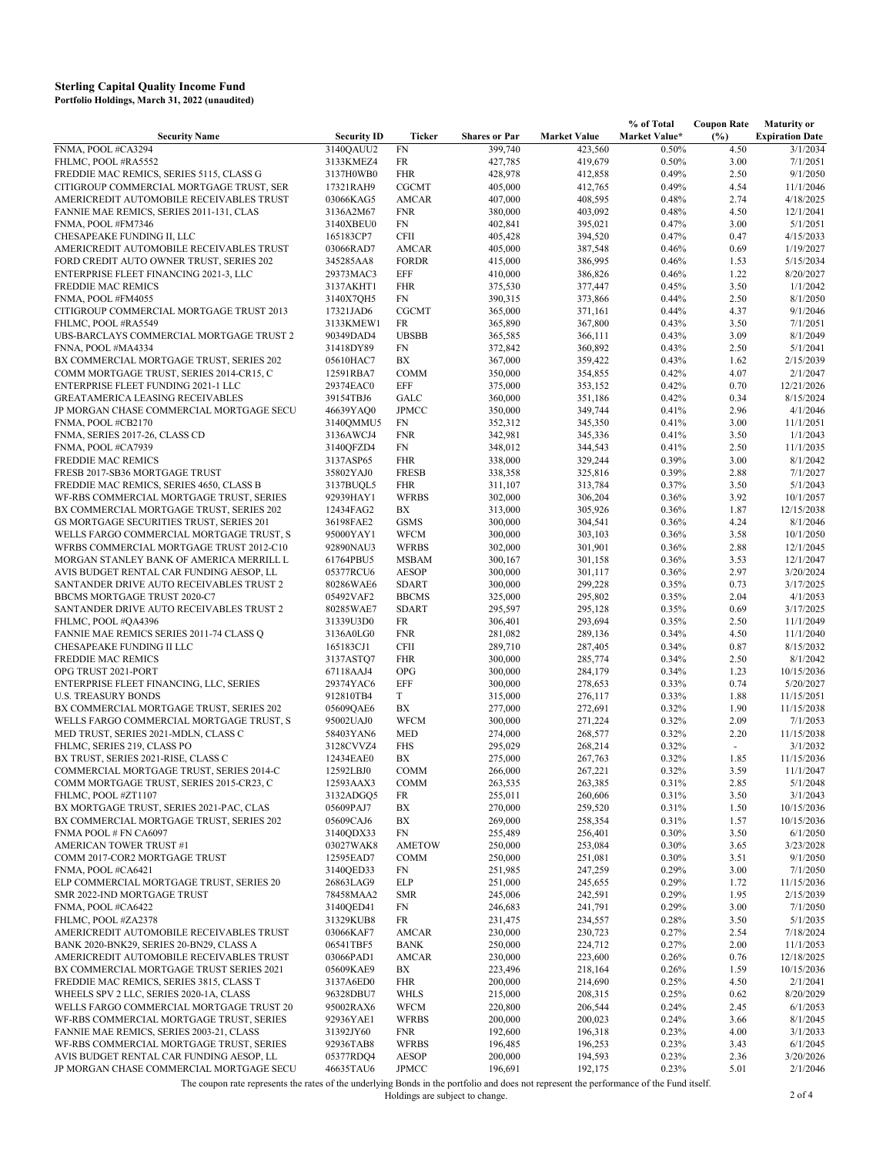|                                          |                    |               |                      |                     | % of Total    | <b>Coupon Rate</b> | <b>Maturity or</b>     |
|------------------------------------------|--------------------|---------------|----------------------|---------------------|---------------|--------------------|------------------------|
| <b>Security Name</b>                     | <b>Security ID</b> | Ticker        | <b>Shares or Par</b> | <b>Market Value</b> | Market Value* | (%)                | <b>Expiration Date</b> |
| FNMA, POOL #CA3294                       | 3140QAUU2          | <b>FN</b>     | 399,740              | 423,560             | 0.50%         | 4.50               | 3/1/2034               |
| FHLMC, POOL #RA5552                      | 3133KMEZ4          | FR            | 427,785              | 419,679             | 0.50%         | 3.00               | 7/1/2051               |
| FREDDIE MAC REMICS, SERIES 5115, CLASS G | 3137H0WB0          | <b>FHR</b>    | 428,978              | 412,858             | 0.49%         | 2.50               | 9/1/2050               |
| CITIGROUP COMMERCIAL MORTGAGE TRUST, SER | 17321RAH9          | <b>CGCMT</b>  | 405,000              | 412,765             | 0.49%         | 4.54               | 11/1/2046              |
| AMERICREDIT AUTOMOBILE RECEIVABLES TRUST | 03066KAG5          | <b>AMCAR</b>  | 407,000              | 408,595             | 0.48%         | 2.74               | 4/18/2025              |
| FANNIE MAE REMICS, SERIES 2011-131, CLAS | 3136A2M67          | <b>FNR</b>    | 380,000              | 403,092             | 0.48%         | 4.50               | 12/1/2041              |
| FNMA, POOL #FM7346                       | 3140XBEU0          | ${\rm FN}$    | 402,841              | 395,021             | 0.47%         | 3.00               | 5/1/2051               |
| CHESAPEAKE FUNDING II, LLC               | 165183CP7          | <b>CFII</b>   | 405,428              | 394,520             | 0.47%         | 0.47               | 4/15/2033              |
| AMERICREDIT AUTOMOBILE RECEIVABLES TRUST | 03066RAD7          | <b>AMCAR</b>  | 405,000              | 387,548             | 0.46%         | 0.69               | 1/19/2027              |
| FORD CREDIT AUTO OWNER TRUST, SERIES 202 | 345285AA8          | <b>FORDR</b>  | 415,000              | 386,995             | 0.46%         | 1.53               | 5/15/2034              |
| ENTERPRISE FLEET FINANCING 2021-3, LLC   | 29373MAC3          | EFF           | 410,000              | 386,826             | 0.46%         | 1.22               | 8/20/2027              |
| FREDDIE MAC REMICS                       | 3137AKHT1          | <b>FHR</b>    | 375,530              | 377,447             | 0.45%         | 3.50               | 1/1/2042               |
| FNMA, POOL #FM4055                       | 3140X7QH5          | FN            | 390,315              | 373,866             | 0.44%         | 2.50               | 8/1/2050               |
| CITIGROUP COMMERCIAL MORTGAGE TRUST 2013 | 17321JAD6          | <b>CGCMT</b>  | 365,000              | 371,161             | 0.44%         | 4.37               | 9/1/2046               |
| FHLMC, POOL #RA5549                      | 3133KMEW1          | FR            | 365,890              | 367,800             | 0.43%         | 3.50               | 7/1/2051               |
| UBS-BARCLAYS COMMERCIAL MORTGAGE TRUST 2 | 90349DAD4          | <b>UBSBB</b>  | 365,585              | 366,111             | 0.43%         | 3.09               | 8/1/2049               |
| FNNA, POOL #MA4334                       | 31418DY89          | FN            | 372,842              | 360,892             | 0.43%         | 2.50               | 5/1/2041               |
| BX COMMERCIAL MORTGAGE TRUST, SERIES 202 | 05610HAC7          | BX            | 367,000              | 359,422             | 0.43%         | 1.62               | 2/15/2039              |
| COMM MORTGAGE TRUST, SERIES 2014-CR15, C | 12591RBA7          | <b>COMM</b>   | 350,000              | 354,855             | 0.42%         | 4.07               | 2/1/2047               |
| ENTERPRISE FLEET FUNDING 2021-1 LLC      | 29374EAC0          | EFF           | 375,000              | 353,152             | 0.42%         | 0.70               | 12/21/2026             |
| <b>GREATAMERICA LEASING RECEIVABLES</b>  | 39154TBJ6          | GALC          | 360,000              | 351,186             | 0.42%         | 0.34               | 8/15/2024              |
| JP MORGAN CHASE COMMERCIAL MORTGAGE SECU | 46639YAQ0          | <b>JPMCC</b>  | 350,000              | 349,744             | 0.41%         | 2.96               | 4/1/2046               |
| FNMA, POOL #CB2170                       | 3140QMMU5          | <b>FN</b>     | 352,312              | 345,350             | 0.41%         | 3.00               | 11/1/2051              |
| FNMA, SERIES 2017-26, CLASS CD           | 3136AWCJ4          | <b>FNR</b>    | 342,981              | 345,336             | 0.41%         | 3.50               | 1/1/2043               |
| FNMA, POOL #CA7939                       | 3140QFZD4          | FN            | 348,012              | 344,543             | 0.41%         | 2.50               | 11/1/2035              |
| FREDDIE MAC REMICS                       | 3137ASP65          | <b>FHR</b>    | 338,000              | 329,244             | 0.39%         | 3.00               | 8/1/2042               |
| FRESB 2017-SB36 MORTGAGE TRUST           | 35802YAJ0          | <b>FRESB</b>  | 338,358              | 325,816             | 0.39%         | 2.88               | 7/1/2027               |
| FREDDIE MAC REMICS, SERIES 4650, CLASS B | 3137BUQL5          | <b>FHR</b>    | 311,107              | 313,784             | 0.37%         | 3.50               | 5/1/2043               |
| WF-RBS COMMERCIAL MORTGAGE TRUST, SERIES | 92939HAY1          | <b>WFRBS</b>  | 302,000              | 306,204             | 0.36%         | 3.92               | 10/1/2057              |
| BX COMMERCIAL MORTGAGE TRUST, SERIES 202 | 12434FAG2          | BX            | 313,000              | 305,926             | 0.36%         | 1.87               | 12/15/2038             |
| GS MORTGAGE SECURITIES TRUST, SERIES 201 | 36198FAE2          | <b>GSMS</b>   | 300,000              | 304,541             | 0.36%         | 4.24               | 8/1/2046               |
| WELLS FARGO COMMERCIAL MORTGAGE TRUST, S | 95000YAY1          | <b>WFCM</b>   | 300,000              | 303,103             | 0.36%         | 3.58               | 10/1/2050              |
| WFRBS COMMERCIAL MORTGAGE TRUST 2012-C10 | 92890NAU3          | <b>WFRBS</b>  | 302,000              | 301,901             | 0.36%         | 2.88               | 12/1/2045              |
| MORGAN STANLEY BANK OF AMERICA MERRILL L | 61764PBU5          | <b>MSBAM</b>  | 300,167              | 301,158             | 0.36%         | 3.53               | 12/1/2047              |
| AVIS BUDGET RENTAL CAR FUNDING AESOP, LL | 05377RCU6          | <b>AESOP</b>  | 300,000              | 301,117             | 0.36%         | 2.97               | 3/20/2024              |
| SANTANDER DRIVE AUTO RECEIVABLES TRUST 2 | 80286WAE6          | <b>SDART</b>  | 300,000              | 299,228             | 0.35%         | 0.73               | 3/17/2025              |
| BBCMS MORTGAGE TRUST 2020-C7             | 05492VAF2          | <b>BBCMS</b>  | 325,000              | 295,802             | 0.35%         | 2.04               | 4/1/2053               |
| SANTANDER DRIVE AUTO RECEIVABLES TRUST 2 | 80285WAE7          | <b>SDART</b>  | 295,597              | 295,128             | 0.35%         | 0.69               | 3/17/2025              |
| FHLMC, POOL #QA4396                      | 31339U3D0          | FR            | 306,401              | 293,694             | 0.35%         | 2.50               | 11/1/2049              |
| FANNIE MAE REMICS SERIES 2011-74 CLASS Q | 3136A0LG0          | <b>FNR</b>    | 281,082              | 289,136             | 0.34%         | 4.50               | 11/1/2040              |
| CHESAPEAKE FUNDING II LLC                | 165183CJ1          | CFII          | 289,710              | 287,405             | 0.34%         | 0.87               | 8/15/2032              |
| FREDDIE MAC REMICS                       | 3137ASTQ7          | <b>FHR</b>    | 300,000              | 285,774             | 0.34%         | 2.50               | 8/1/2042               |
| OPG TRUST 2021-PORT                      | 67118AAJ4          | <b>OPG</b>    | 300,000              | 284,179             | 0.34%         | 1.23               | 10/15/2036             |
| ENTERPRISE FLEET FINANCING, LLC, SERIES  | 29374YAC6          | EFF           | 300,000              | 278,653             | 0.33%         | 0.74               | 5/20/2027              |
| <b>U.S. TREASURY BONDS</b>               | 912810TB4          | T             | 315,000              | 276,117             | 0.33%         | 1.88               | 11/15/2051             |
| BX COMMERCIAL MORTGAGE TRUST, SERIES 202 | 05609QAE6          | BX            | 277,000              | 272,691             | 0.32%         | 1.90               | 11/15/2038             |
| WELLS FARGO COMMERCIAL MORTGAGE TRUST, S | 95002UAJ0          | <b>WFCM</b>   | 300,000              | 271,224             | 0.32%         | 2.09               | 7/1/2053               |
| MED TRUST, SERIES 2021-MDLN, CLASS C     | 58403YAN6          | <b>MED</b>    | 274,000              | 268,577             | 0.32%         | 2.20               | 11/15/2038             |
| FHLMC, SERIES 219, CLASS PO              | 3128CVVZ4          | <b>FHS</b>    | 295,029              | 268,214             | 0.32%         |                    | 3/1/2032               |
| BX TRUST, SERIES 2021-RISE, CLASS C      | 12434EAE0          | BX            | 275,000              | 267,763             | 0.32%         | 1.85               | 11/15/2036             |
| COMMERCIAL MORTGAGE TRUST, SERIES 2014-C | 12592LBJ0          | <b>COMM</b>   | 266,000              | 267,221             | 0.32%         | 3.59               | 11/1/2047              |
| COMM MORTGAGE TRUST, SERIES 2015-CR23, C | 12593AAX3          | <b>COMM</b>   | 263,535              | 263,385             | 0.31%         | 2.85               | 5/1/2048               |
| FHLMC, POOL #ZT1107                      | 3132ADGQ5          | FR            | 255,011              | 260,606             | 0.31%         | 3.50               | 3/1/2043               |
| BX MORTGAGE TRUST, SERIES 2021-PAC, CLAS | 05609PAJ7          | BX            | 270,000              | 259,520             | 0.31%         | 1.50               | 10/15/2036             |
| BX COMMERCIAL MORTGAGE TRUST, SERIES 202 | 05609CAJ6          | BX            | 269,000              | 258,354             | 0.31%         | 1.57               | 10/15/2036             |
| FNMA POOL # FN CA6097                    | 3140QDX33          | FN            | 255,489              | 256,401             | 0.30%         | 3.50               | 6/1/2050               |
| AMERICAN TOWER TRUST #1                  | 03027WAK8          | <b>AMETOW</b> | 250,000              | 253,084             | 0.30%         | 3.65               | 3/23/2028              |
| COMM 2017-COR2 MORTGAGE TRUST            | 12595EAD7          | <b>COMM</b>   | 250,000              | 251,081             | 0.30%         | 3.51               | 9/1/2050               |
| FNMA, POOL #CA6421                       | 3140QED33          | FN            | 251,985              | 247,259             | 0.29%         | 3.00               | 7/1/2050               |
| ELP COMMERCIAL MORTGAGE TRUST, SERIES 20 | 26863LAG9          | ELP           | 251,000              | 245,655             | 0.29%         | 1.72               | 11/15/2036             |
| SMR 2022-IND MORTGAGE TRUST              | 78458MAA2          | <b>SMR</b>    | 245,006              | 242,591             | 0.29%         | 1.95               | 2/15/2039              |
| FNMA, POOL #CA6422                       | 3140QED41          | ${\rm FN}$    | 246,683              | 241,791             | 0.29%         | 3.00               | 7/1/2050               |
| FHLMC, POOL #ZA2378                      | 31329KUB8          | FR            | 231,475              | 234,557             | 0.28%         | 3.50               | 5/1/2035               |
| AMERICREDIT AUTOMOBILE RECEIVABLES TRUST | 03066KAF7          | <b>AMCAR</b>  | 230,000              | 230,723             | 0.27%         | 2.54               | 7/18/2024              |
| BANK 2020-BNK29, SERIES 20-BN29, CLASS A | 06541TBF5          | <b>BANK</b>   | 250,000              | 224,712             | 0.27%         | 2.00               | 11/1/2053              |
| AMERICREDIT AUTOMOBILE RECEIVABLES TRUST | 03066PAD1          | <b>AMCAR</b>  | 230,000              | 223,600             | 0.26%         | 0.76               | 12/18/2025             |
| BX COMMERCIAL MORTGAGE TRUST SERIES 2021 | 05609KAE9          | ВX            | 223,496              | 218,164             | 0.26%         | 1.59               | 10/15/2036             |
| FREDDIE MAC REMICS, SERIES 3815, CLASS T | 3137A6ED0          | <b>FHR</b>    | 200,000              | 214,690             | 0.25%         | 4.50               | 2/1/2041               |
| WHEELS SPV 2 LLC, SERIES 2020-1A, CLASS  | 96328DBU7          | <b>WHLS</b>   | 215,000              | 208,315             | 0.25%         | 0.62               | 8/20/2029              |
| WELLS FARGO COMMERCIAL MORTGAGE TRUST 20 | 95002RAX6          | <b>WFCM</b>   | 220,800              | 206,544             | 0.24%         | 2.45               | 6/1/2053               |
| WF-RBS COMMERCIAL MORTGAGE TRUST, SERIES | 92936YAE1          | <b>WFRBS</b>  | 200,000              | 200,023             | 0.24%         | 3.66               | 8/1/2045               |
| FANNIE MAE REMICS, SERIES 2003-21, CLASS | 31392JY60          | <b>FNR</b>    | 192,600              | 196,318             | 0.23%         | 4.00               | 3/1/2033               |
| WF-RBS COMMERCIAL MORTGAGE TRUST, SERIES | 92936TAB8          | <b>WFRBS</b>  | 196,485              | 196,253             | 0.23%         | 3.43               | 6/1/2045               |
| AVIS BUDGET RENTAL CAR FUNDING AESOP, LL | 05377RDQ4          | <b>AESOP</b>  | 200,000              | 194,593             | 0.23%         | 2.36               | 3/20/2026              |
| JP MORGAN CHASE COMMERCIAL MORTGAGE SECU | 46635TAU6          | JPMCC         | 196,691              | 192,175             | 0.23%         | 5.01               | 2/1/2046               |

The coupon rate represents the rates of the underlying Bonds in the portfolio and does not represent the performance of the Fund itself.<br>2 of 4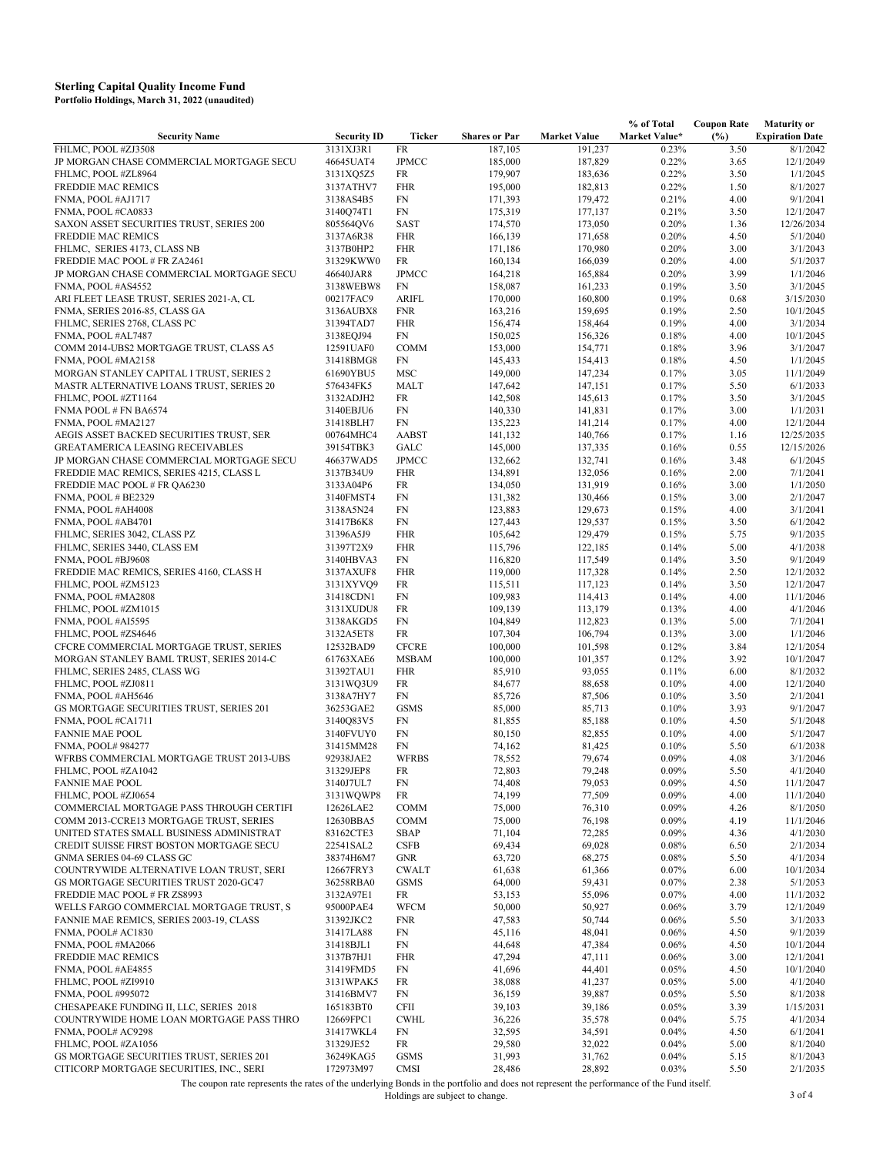| <b>Security Name</b>                                                   | <b>Security ID</b>     | Ticker                   | <b>Shares or Par</b> | <b>Market Value</b> | Market Value*  | (%)          | <b>Expiration Date</b> |
|------------------------------------------------------------------------|------------------------|--------------------------|----------------------|---------------------|----------------|--------------|------------------------|
| FHLMC, POOL #ZJ3508                                                    | 3131XJ3R1              | FR                       | 187,105              | 191,237             | 0.23%          | 3.50         | 8/1/2042               |
| JP MORGAN CHASE COMMERCIAL MORTGAGE SECU                               | 46645UAT4              | <b>JPMCC</b>             | 185,000              | 187,829             | 0.22%          | 3.65         | 12/1/2049              |
| FHLMC, POOL #ZL8964                                                    | 3131XQ5Z5              | FR                       | 179,907              | 183,636             | 0.22%          | 3.50         | 1/1/2045               |
| FREDDIE MAC REMICS                                                     | 3137ATHV7              | <b>FHR</b>               | 195,000              | 182,813             | 0.22%          | 1.50         | 8/1/2027               |
| FNMA, POOL #AJ1717                                                     | 3138AS4B5              | FN                       | 171,393              | 179,472             | 0.21%          | 4.00         | 9/1/2041               |
| FNMA, POOL #CA0833                                                     | 3140Q74T1              | FN                       | 175,319              | 177,137             | 0.21%          | 3.50         | 12/1/2047              |
| SAXON ASSET SECURITIES TRUST, SERIES 200                               | 805564QV6              | <b>SAST</b>              | 174,570              | 173,050             | 0.20%          | 1.36         | 12/26/2034             |
| <b>FREDDIE MAC REMICS</b>                                              | 3137A6R38              | <b>FHR</b>               | 166,139              | 171,658             | 0.20%          | 4.50         | 5/1/2040               |
| FHLMC, SERIES 4173, CLASS NB                                           | 3137B0HP2              | <b>FHR</b>               | 171,186              | 170,980             | 0.20%          | 3.00         | 3/1/2043               |
| FREDDIE MAC POOL # FR ZA2461                                           | 31329KWW0              | FR                       | 160,134              | 166,039             | 0.20%          | 4.00         | 5/1/2037               |
| JP MORGAN CHASE COMMERCIAL MORTGAGE SECU                               | 46640JAR8              | <b>JPMCC</b>             | 164,218              | 165,884             | 0.20%          | 3.99         | 1/1/2046               |
| FNMA, POOL #AS4552                                                     | 3138WEBW8              | <b>FN</b>                | 158,087              | 161,233             | 0.19%          | 3.50         | 3/1/2045               |
| ARI FLEET LEASE TRUST, SERIES 2021-A, CL                               | 00217FAC9              | <b>ARIFL</b>             | 170,000              | 160,800             | 0.19%          | 0.68         | 3/15/2030              |
| FNMA, SERIES 2016-85, CLASS GA                                         | 3136AUBX8              | <b>FNR</b>               | 163,216              | 159,695             | 0.19%          | 2.50         | 10/1/2045              |
| FHLMC, SERIES 2768, CLASS PC                                           | 31394TAD7              | <b>FHR</b>               | 156,474              | 158,464             | 0.19%          | 4.00         | 3/1/2034               |
| FNMA, POOL #AL7487                                                     | 3138EQJ94              | FN                       | 150,025              | 156,326             | 0.18%          | 4.00         | 10/1/2045              |
| COMM 2014-UBS2 MORTGAGE TRUST, CLASS A5                                | 12591UAF0              | <b>COMM</b>              | 153,000              | 154,771             | 0.18%          | 3.96         | 3/1/2047               |
| FNMA, POOL #MA2158                                                     | 31418BMG8              | FN                       | 145,433              | 154,413             | 0.18%          | 4.50         | 1/1/2045               |
| MORGAN STANLEY CAPITAL I TRUST, SERIES 2                               | 61690YBU5              | <b>MSC</b>               | 149,000              | 147,234             | 0.17%          | 3.05         | 11/1/2049              |
| MASTR ALTERNATIVE LOANS TRUST, SERIES 20                               | 576434FK5              | MALT                     | 147,642              | 147,151             | 0.17%          | 5.50         | 6/1/2033               |
| FHLMC, POOL #ZT1164                                                    | 3132ADJH2              | FR                       | 142,508              | 145,613             | 0.17%          | 3.50         | 3/1/2045               |
| FNMA POOL # FN BA6574                                                  | 3140EBJU6              | FN                       | 140,330              | 141,831             | 0.17%          | 3.00         | 1/1/2031               |
| FNMA, POOL #MA2127                                                     | 31418BLH7              | FN                       | 135,223              | 141,214             | 0.17%          | 4.00         | 12/1/2044              |
| AEGIS ASSET BACKED SECURITIES TRUST, SER                               | 00764MHC4              | <b>AABST</b>             | 141,132              | 140,766             | 0.17%          | 1.16         | 12/25/2035             |
| GREATAMERICA LEASING RECEIVABLES                                       | 39154TBK3              | GALC                     | 145,000              | 137,335             | 0.16%          | 0.55         | 12/15/2026             |
| JP MORGAN CHASE COMMERCIAL MORTGAGE SECU                               | 46637WAD5              | <b>JPMCC</b>             | 132,662              | 132,741             | 0.16%          | 3.48         | 6/1/2045               |
| FREDDIE MAC REMICS, SERIES 4215, CLASS L                               | 3137B34U9              | <b>FHR</b>               | 134,891              | 132,056             | 0.16%          | 2.00         | 7/1/2041               |
| FREDDIE MAC POOL # FR QA6230                                           | 3133A04P6              | FR                       | 134,050              | 131,919             | 0.16%          | 3.00         | 1/1/2050               |
| FNMA, POOL # BE2329                                                    | 3140FMST4              | FN                       | 131,382              | 130,466             | 0.15%          | 3.00         | 2/1/2047               |
| FNMA, POOL #AH4008                                                     | 3138A5N24              | FN                       | 123,883              | 129,673             | 0.15%          | 4.00         | 3/1/2041               |
| FNMA, POOL #AB4701                                                     | 31417B6K8              | FN                       | 127,443              | 129,537             | 0.15%          | 3.50         | 6/1/2042               |
| FHLMC, SERIES 3042, CLASS PZ                                           | 31396A5J9              | <b>FHR</b>               | 105,642              | 129,479             | 0.15%          | 5.75         | 9/1/2035               |
| FHLMC, SERIES 3440, CLASS EM                                           | 31397T2X9              | <b>FHR</b>               | 115,796              | 122,185             | 0.14%          | 5.00         | 4/1/2038               |
| FNMA, POOL #BJ9608                                                     | 3140HBVA3              | FN                       | 116,820              | 117,549             | 0.14%          | 3.50         | 9/1/2049               |
| FREDDIE MAC REMICS, SERIES 4160, CLASS H                               | 3137AXUF8              | <b>FHR</b>               | 119,000              | 117,328             | 0.14%          | 2.50         | 12/1/2032              |
| FHLMC, POOL #ZM5123                                                    | 3131XYVQ9              | FR                       | 115,511              | 117,123             | 0.14%          | 3.50         | 12/1/2047              |
| FNMA, POOL #MA2808                                                     | 31418CDN1              | FN                       | 109,983              | 114,413             | 0.14%          | 4.00         | 11/1/2046              |
| FHLMC, POOL #ZM1015                                                    | 3131XUDU8              | FR                       | 109,139              | 113,179             | 0.13%          | 4.00         | 4/1/2046               |
| FNMA, POOL #AI5595                                                     | 3138AKGD5              | FN                       | 104,849              | 112,823             | 0.13%          | 5.00         | 7/1/2041               |
| FHLMC, POOL #ZS4646                                                    | 3132A5ET8              | FR                       | 107,304              | 106,794             | 0.13%          | 3.00         | 1/1/2046               |
| CFCRE COMMERCIAL MORTGAGE TRUST, SERIES                                | 12532BAD9              | <b>CFCRE</b>             | 100,000              | 101,598             | 0.12%          | 3.84         | 12/1/2054              |
| MORGAN STANLEY BAML TRUST, SERIES 2014-C                               | 61763XAE6              | <b>MSBAM</b>             | 100,000              | 101,357             | 0.12%          | 3.92         | 10/1/2047              |
| FHLMC, SERIES 2485, CLASS WG                                           | 31392TAU1              | <b>FHR</b>               | 85,910               | 93,055              | 0.11%          | 6.00         | 8/1/2032               |
| FHLMC, POOL #ZJ0811                                                    | 3131WQ3U9              | FR                       | 84,677               | 88,658              | 0.10%          | 4.00         | 12/1/2040              |
| FNMA, POOL #AH5646                                                     | 3138A7HY7              | FN                       | 85,726               | 87,506              | 0.10%          | 3.50         | 2/1/2041               |
| GS MORTGAGE SECURITIES TRUST, SERIES 201                               | 36253GAE2              | <b>GSMS</b>              | 85,000               | 85,713              | 0.10%          | 3.93         | 9/1/2047               |
| FNMA, POOL #CA1711                                                     | 3140Q83V5              | FN                       | 81,855               | 85,188              | 0.10%          | 4.50         | 5/1/2048               |
| <b>FANNIE MAE POOL</b>                                                 | 3140FVUY0              | FN                       | 80,150               | 82,855              | 0.10%          | 4.00         | 5/1/2047               |
| FNMA, POOL# 984277                                                     | 31415MM28              | FN                       | 74,162               | 81,425              | 0.10%          | 5.50         | 6/1/2038               |
| WFRBS COMMERCIAL MORTGAGE TRUST 2013-UBS                               | 92938JAE2              | <b>WFRBS</b>             | 78,552               | 79,674              | 0.09%          | 4.08         | 3/1/2046               |
| FHLMC, POOL #ZA1042                                                    | 31329JEP8              | FR                       | 72,803               | 79,248              | 0.09%          | 5.50         | 4/1/2040               |
| <b>FANNIE MAE POOL</b>                                                 | 3140J7UL7              | ${\rm FN}$               | 74,408               | 79,053              | 0.09%          | 4.50         | 11/1/2047              |
| FHLMC, POOL #ZJ0654                                                    | 3131WQWP8              | FR                       | 74,199               | 77,509              | 0.09%          | 4.00         | 11/1/2040              |
| COMMERCIAL MORTGAGE PASS THROUGH CERTIFI                               | 12626LAE2              | <b>COMM</b>              | 75,000               | 76,310              | 0.09%          | 4.26         | 8/1/2050               |
| COMM 2013-CCRE13 MORTGAGE TRUST, SERIES                                | 12630BBA5              | <b>COMM</b>              | 75,000               | 76,198              | 0.09%          | 4.19         | 11/1/2046              |
| UNITED STATES SMALL BUSINESS ADMINISTRAT                               | 83162CTE3              | SBAP                     | 71,104               | 72,285              | 0.09%          | 4.36         | 4/1/2030               |
| CREDIT SUISSE FIRST BOSTON MORTGAGE SECU                               | 22541SAL2              | <b>CSFB</b>              | 69,434               | 69,028              | 0.08%          | 6.50         | 2/1/2034               |
| GNMA SERIES 04-69 CLASS GC                                             | 38374H6M7              | GNR                      | 63,720               | 68,275              | 0.08%          | 5.50         | 4/1/2034               |
| COUNTRYWIDE ALTERNATIVE LOAN TRUST, SERI                               | 12667FRY3              | <b>CWALT</b>             | 61,638               | 61,366              | 0.07%          | 6.00         | 10/1/2034              |
| GS MORTGAGE SECURITIES TRUST 2020-GC47<br>FREDDIE MAC POOL # FR ZS8993 | 36258RBA0<br>3132A97E1 | <b>GSMS</b>              | 64,000               | 59,431              | 0.07%          | 2.38         | 5/1/2053               |
| WELLS FARGO COMMERCIAL MORTGAGE TRUST, S                               |                        | FR                       | 53,153               | 55,096              | 0.07%          | 4.00         | 11/1/2032              |
|                                                                        | 95000PAE4<br>31392JKC2 | <b>WFCM</b>              | 50,000               | 50,927              | 0.06%          | 3.79         | 12/1/2049              |
| FANNIE MAE REMICS, SERIES 2003-19, CLASS<br>FNMA, POOL# AC1830         | 31417LA88              | <b>FNR</b><br>${\rm FN}$ | 47,583               | 50,744<br>48,041    | 0.06%<br>0.06% | 5.50         | 3/1/2033<br>9/1/2039   |
|                                                                        |                        |                          | 45,116               |                     |                | 4.50         |                        |
| FNMA, POOL #MA2066<br>FREDDIE MAC REMICS                               | 31418BJL1<br>3137B7HJ1 | FN<br><b>FHR</b>         | 44,648<br>47,294     | 47,384<br>47,111    | 0.06%<br>0.06% | 4.50<br>3.00 | 10/1/2044<br>12/1/2041 |
| FNMA, POOL #AE4855                                                     | 31419FMD5              | FN                       | 41,696               | 44,401              | 0.05%          | 4.50         | 10/1/2040              |
|                                                                        |                        |                          |                      | 41,237              |                |              | 4/1/2040               |
| FHLMC, POOL #ZI9910                                                    | 3131WPAK5              | FR                       | 38,088               | 39,887              | 0.05%<br>0.05% | 5.00         | 8/1/2038               |
| FNMA, POOL #995072<br>CHESAPEAKE FUNDING II, LLC, SERIES 2018          | 31416BMV7<br>165183BT0 | FN<br>CFII               | 36,159<br>39,103     | 39,186              | 0.05%          | 5.50<br>3.39 | 1/15/2031              |
| COUNTRYWIDE HOME LOAN MORTGAGE PASS THRO                               | 12669FPC1              | <b>CWHL</b>              | 36,226               | 35,578              | 0.04%          | 5.75         | 4/1/2034               |
| FNMA, POOL# AC9298                                                     | 31417WKL4              | FN                       | 32,595               | 34,591              | 0.04%          | 4.50         | 6/1/2041               |
| FHLMC, POOL #ZA1056                                                    | 31329JE52              | FR                       | 29,580               | 32,022              | 0.04%          | 5.00         | 8/1/2040               |
| GS MORTGAGE SECURITIES TRUST, SERIES 201                               | 36249KAG5              | <b>GSMS</b>              | 31,993               | 31,762              | 0.04%          | 5.15         | 8/1/2043               |
| CITICORP MORTGAGE SECURITIES, INC., SERI                               | 172973M97              | CMSI                     | 28,486               | 28,892              | 0.03%          | 5.50         | 2/1/2035               |
|                                                                        |                        |                          |                      |                     |                |              |                        |

**% of Total** 

 **Coupon Rate** 

**Maturity or** 

The coupon rate represents the rates of the underlying Bonds in the portfolio and does not represent the performance of the Fund itself. Holdings are subject to change. 3 of 4